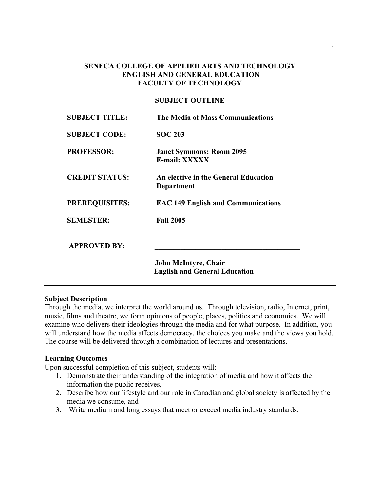# **SENECA COLLEGE OF APPLIED ARTS AND TECHNOLOGY ENGLISH AND GENERAL EDUCATION FACULTY OF TECHNOLOGY**

# **SUBJECT OUTLINE**

| The Media of Mass Communications                   |
|----------------------------------------------------|
| <b>SOC 203</b>                                     |
| <b>Janet Symmons: Room 2095</b><br>E-mail: XXXXX   |
| An elective in the General Education<br>Department |
| <b>EAC 149 English and Communications</b>          |
| <b>Fall 2005</b>                                   |
|                                                    |
| John McIntyre, Chair                               |
| <b>English and General Education</b>               |
|                                                    |

# **Subject Description**

Through the media, we interpret the world around us. Through television, radio, Internet, print, music, films and theatre, we form opinions of people, places, politics and economics. We will examine who delivers their ideologies through the media and for what purpose. In addition, you will understand how the media affects democracy, the choices you make and the views you hold. The course will be delivered through a combination of lectures and presentations.

# **Learning Outcomes**

Upon successful completion of this subject, students will:

- 1. Demonstrate their understanding of the integration of media and how it affects the information the public receives,
- 2. Describe how our lifestyle and our role in Canadian and global society is affected by the media we consume, and
- 3. Write medium and long essays that meet or exceed media industry standards.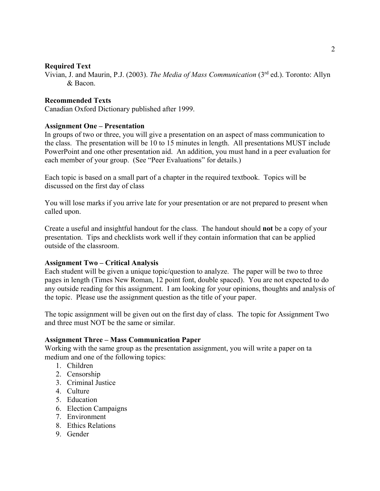# **Required Text**

Vivian, J. and Maurin, P.J. (2003). *The Media of Mass Communication* (3rd ed.). Toronto: Allyn & Bacon.

#### **Recommended Texts**

Canadian Oxford Dictionary published after 1999.

#### **Assignment One – Presentation**

In groups of two or three, you will give a presentation on an aspect of mass communication to the class. The presentation will be 10 to 15 minutes in length. All presentations MUST include PowerPoint and one other presentation aid. An addition, you must hand in a peer evaluation for each member of your group. (See "Peer Evaluations" for details.)

Each topic is based on a small part of a chapter in the required textbook. Topics will be discussed on the first day of class

You will lose marks if you arrive late for your presentation or are not prepared to present when called upon.

Create a useful and insightful handout for the class. The handout should **not** be a copy of your presentation. Tips and checklists work well if they contain information that can be applied outside of the classroom.

#### **Assignment Two – Critical Analysis**

Each student will be given a unique topic/question to analyze. The paper will be two to three pages in length (Times New Roman, 12 point font, double spaced). You are not expected to do any outside reading for this assignment. I am looking for your opinions, thoughts and analysis of the topic. Please use the assignment question as the title of your paper.

The topic assignment will be given out on the first day of class. The topic for Assignment Two and three must NOT be the same or similar.

#### **Assignment Three – Mass Communication Paper**

Working with the same group as the presentation assignment, you will write a paper on ta medium and one of the following topics:

- 1. Children
- 2. Censorship
- 3. Criminal Justice
- 4. Culture
- 5. Education
- 6. Election Campaigns
- 7. Environment
- 8. Ethics Relations
- 9. Gender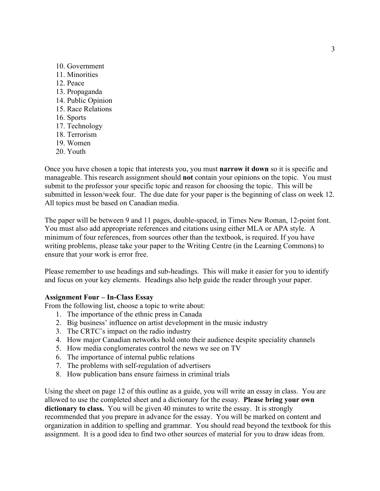- 10. Government
- 11. Minorities
- 12. Peace
- 13. Propaganda
- 14. Public Opinion
- 15. Race Relations
- 16. Sports
- 17. Technology
- 18. Terrorism
- 19. Women
- 20. Youth

Once you have chosen a topic that interests you, you must **narrow it down** so it is specific and manageable. This research assignment should **not** contain your opinions on the topic. You must submit to the professor your specific topic and reason for choosing the topic. This will be submitted in lesson/week four. The due date for your paper is the beginning of class on week 12. All topics must be based on Canadian media.

The paper will be between 9 and 11 pages, double-spaced, in Times New Roman, 12-point font. You must also add appropriate references and citations using either MLA or APA style. A minimum of four references, from sources other than the textbook, is required. If you have writing problems, please take your paper to the Writing Centre (in the Learning Commons) to ensure that your work is error free.

Please remember to use headings and sub-headings. This will make it easier for you to identify and focus on your key elements. Headings also help guide the reader through your paper.

#### **Assignment Four – In-Class Essay**

From the following list, choose a topic to write about:

- 1. The importance of the ethnic press in Canada
- 2. Big business' influence on artist development in the music industry
- 3. The CRTC's impact on the radio industry
- 4. How major Canadian networks hold onto their audience despite speciality channels
- 5. How media conglomerates control the news we see on TV
- 6. The importance of internal public relations
- 7. The problems with self-regulation of advertisers
- 8. How publication bans ensure fairness in criminal trials

Using the sheet on page 12 of this outline as a guide, you will write an essay in class. You are allowed to use the completed sheet and a dictionary for the essay. **Please bring your own dictionary to class.** You will be given 40 minutes to write the essay. It is strongly recommended that you prepare in advance for the essay. You will be marked on content and organization in addition to spelling and grammar. You should read beyond the textbook for this assignment. It is a good idea to find two other sources of material for you to draw ideas from.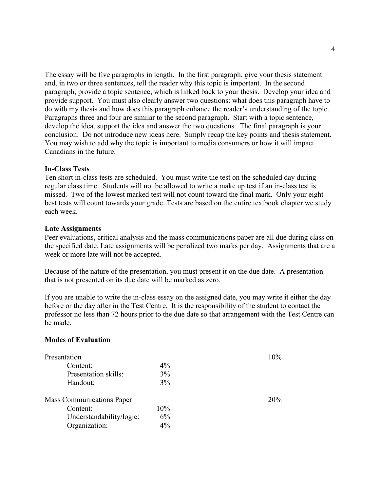The essay will be five paragraphs in length. In the first paragraph, give your thesis statement and, in two or three sentences, tell the reader why this topic is important. In the second paragraph, provide a topic sentence, which is linked back to your thesis. Develop your idea and provide support. You must also clearly answer two questions: what does this paragraph have to do with my thesis and how does this paragraph enhance the reader's understanding of the topic. Paragraphs three and four are similar to the second paragraph. Start with a topic sentence, develop the idea, support the idea and answer the two questions. The final paragraph is your conclusion. Do not introduce new ideas here. Simply recap the key points and thesis statement. You may wish to add why the topic is important to media consumers or how it will impact Canadians in the future.

#### **In-Class Tests**

Ten short in-class tests are scheduled. You must write the test on the scheduled day during regular class time. Students will not be allowed to write a make up test if an in-class test is missed. Two of the lowest marked test will not count toward the final mark. Only your eight best tests will count towards your grade. Tests are based on the entire textbook chapter we study each week.

#### **Late Assignments**

Peer evaluations, critical analysis and the mass communications paper are all due during class on the specified date. Late assignments will be penalized two marks per day. Assignments that are a week or more late will not be accepted.

Because of the nature of the presentation, you must present it on the due date. A presentation that is not presented on its due date will be marked as zero.

If you are unable to write the in-class essay on the assigned date, you may write it either the day before or the day after in the Test Centre. It is the responsibility of the student to contact the professor no less than 72 hours prior to the due date so that arrangement with the Test Centre can be made.

#### **Modes of Evaluation**

| Presentation              |        | 10% |
|---------------------------|--------|-----|
| Content:                  | $4\%$  |     |
| Presentation skills:      | 3%     |     |
| Handout:                  | 3%     |     |
| Mass Communications Paper |        | 20% |
| Content:                  | $10\%$ |     |
| Understandability/logic:  | $6\%$  |     |
| Organization:             | $4\%$  |     |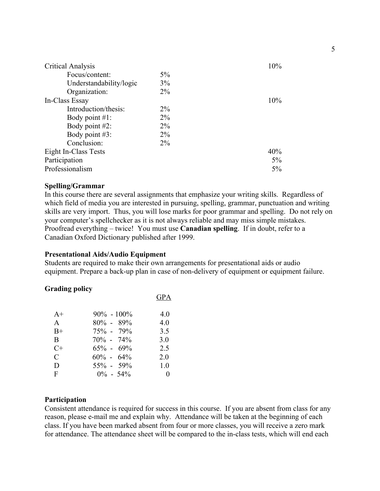| <b>Critical Analysis</b> |       | 10%    |
|--------------------------|-------|--------|
| Focus/content:           | $5\%$ |        |
| Understandability/logic  | 3%    |        |
| Organization:            | $2\%$ |        |
| In-Class Essay           |       | $10\%$ |
| Introduction/thesis:     | $2\%$ |        |
| Body point $#1$ :        | $2\%$ |        |
| Body point $#2$ :        | $2\%$ |        |
| Body point #3:           | $2\%$ |        |
| Conclusion:              | $2\%$ |        |
| Eight In-Class Tests     |       | 40%    |
| Participation            |       | $5\%$  |
| Professionalism          |       | 5%     |

# **Spelling/Grammar**

In this course there are several assignments that emphasize your writing skills. Regardless of which field of media you are interested in pursuing, spelling, grammar, punctuation and writing skills are very import. Thus, you will lose marks for poor grammar and spelling. Do not rely on your computer's spellchecker as it is not always reliable and may miss simple mistakes. Proofread everything – twice! You must use **Canadian spelling**. If in doubt, refer to a Canadian Oxford Dictionary published after 1999.

#### **Presentational Aids/Audio Equipment**

Students are required to make their own arrangements for presentational aids or audio equipment. Prepare a back-up plan in case of non-delivery of equipment or equipment failure.

#### **Grading policy**

|      |                | <b>GPA</b> |
|------|----------------|------------|
| $A+$ | $90\% - 100\%$ | 4.0        |
| A    | $80\% - 89\%$  | 4.0        |
| $B+$ | $75\% - 79\%$  | 3.5        |
| B    | $70\% - 74\%$  | 3.0        |
| $C+$ | $65\% - 69\%$  | 2.5        |
| C    | $60\% - 64\%$  | 2.0        |
| D    | 55% - 59%      | 1.0        |
| F    | $0\% - 54\%$   |            |

#### **Participation**

Consistent attendance is required for success in this course. If you are absent from class for any reason, please e-mail me and explain why. Attendance will be taken at the beginning of each class. If you have been marked absent from four or more classes, you will receive a zero mark for attendance. The attendance sheet will be compared to the in-class tests, which will end each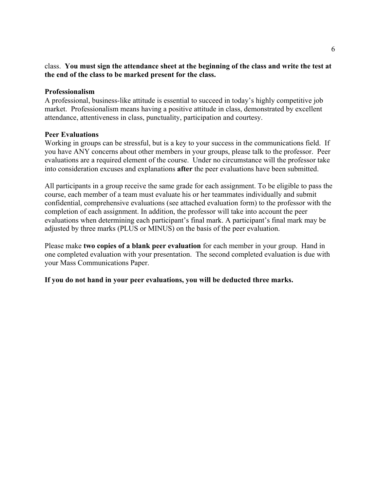# class. **You must sign the attendance sheet at the beginning of the class and write the test at the end of the class to be marked present for the class.**

# **Professionalism**

A professional, business-like attitude is essential to succeed in today's highly competitive job market. Professionalism means having a positive attitude in class, demonstrated by excellent attendance, attentiveness in class, punctuality, participation and courtesy.

# **Peer Evaluations**

Working in groups can be stressful, but is a key to your success in the communications field. If you have ANY concerns about other members in your groups, please talk to the professor. Peer evaluations are a required element of the course. Under no circumstance will the professor take into consideration excuses and explanations **after** the peer evaluations have been submitted.

All participants in a group receive the same grade for each assignment. To be eligible to pass the course, each member of a team must evaluate his or her teammates individually and submit confidential, comprehensive evaluations (see attached evaluation form) to the professor with the completion of each assignment. In addition, the professor will take into account the peer evaluations when determining each participant's final mark. A participant's final mark may be adjusted by three marks (PLUS or MINUS) on the basis of the peer evaluation.

Please make **two copies of a blank peer evaluation** for each member in your group. Hand in one completed evaluation with your presentation. The second completed evaluation is due with your Mass Communications Paper.

**If you do not hand in your peer evaluations, you will be deducted three marks.**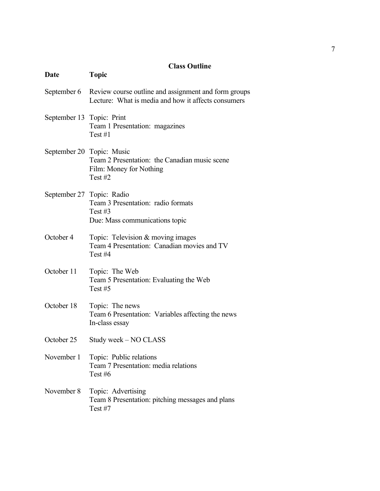# **Class Outline**

| Date                      | <b>Topic</b>                                                                                                            |
|---------------------------|-------------------------------------------------------------------------------------------------------------------------|
|                           | September 6 Review course outline and assignment and form groups<br>Lecture: What is media and how it affects consumers |
| September 13 Topic: Print | Team 1 Presentation: magazines<br>Test $#1$                                                                             |
|                           | September 20 Topic: Music<br>Team 2 Presentation: the Canadian music scene<br>Film: Money for Nothing<br>Test $#2$      |
| September 27 Topic: Radio | Team 3 Presentation: radio formats<br>Test $#3$<br>Due: Mass communications topic                                       |
| October 4                 | Topic: Television & moving images<br>Team 4 Presentation: Canadian movies and TV<br>Test#4                              |
| October 11                | Topic: The Web<br>Team 5 Presentation: Evaluating the Web<br>Test $#5$                                                  |
| October 18                | Topic: The news<br>Team 6 Presentation: Variables affecting the news<br>In-class essay                                  |
| October 25                | Study week – NO CLASS                                                                                                   |
| November 1                | Topic: Public relations<br>Team 7 Presentation: media relations<br>Test $#6$                                            |
| November 8                | Topic: Advertising<br>Team 8 Presentation: pitching messages and plans<br>Test $#7$                                     |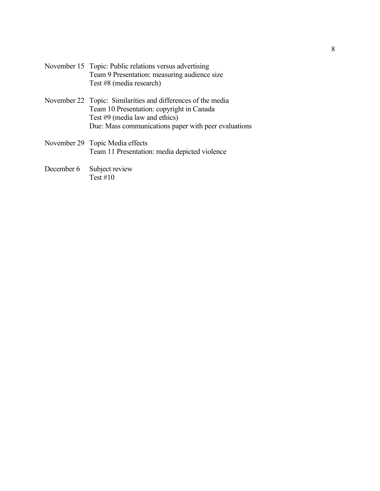| November 15 Topic: Public relations versus advertising |
|--------------------------------------------------------|
| Team 9 Presentation: measuring audience size           |
| Test #8 (media research)                               |

- November 22 Topic: Similarities and differences of the media Team 10 Presentation: copyright in Canada Test #9 (media law and ethics) Due: Mass communications paper with peer evaluations
- November 29 Topic Media effects Team 11 Presentation: media depicted violence
- December 6 Subject review Test  $#10$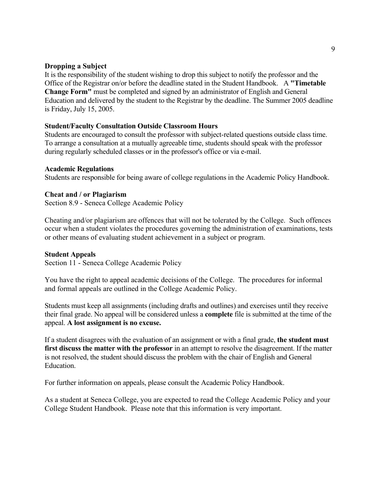# **Dropping a Subject**

It is the responsibility of the student wishing to drop this subject to notify the professor and the Office of the Registrar on/or before the deadline stated in the Student Handbook. A **"Timetable Change Form"** must be completed and signed by an administrator of English and General Education and delivered by the student to the Registrar by the deadline. The Summer 2005 deadline is Friday, July 15, 2005.

# **Student/Faculty Consultation Outside Classroom Hours**

Students are encouraged to consult the professor with subject-related questions outside class time. To arrange a consultation at a mutually agreeable time, students should speak with the professor during regularly scheduled classes or in the professor's office or via e-mail.

#### **Academic Regulations**

Students are responsible for being aware of college regulations in the Academic Policy Handbook.

#### **Cheat and / or Plagiarism**

Section 8.9 - Seneca College Academic Policy

Cheating and/or plagiarism are offences that will not be tolerated by the College. Such offences occur when a student violates the procedures governing the administration of examinations, tests or other means of evaluating student achievement in a subject or program.

#### **Student Appeals**

Section 11 - Seneca College Academic Policy

You have the right to appeal academic decisions of the College. The procedures for informal and formal appeals are outlined in the College Academic Policy.

Students must keep all assignments (including drafts and outlines) and exercises until they receive their final grade. No appeal will be considered unless a **complete** file is submitted at the time of the appeal. **A lost assignment is no excuse.**

If a student disagrees with the evaluation of an assignment or with a final grade, **the student must first discuss the matter with the professor** in an attempt to resolve the disagreement. If the matter is not resolved, the student should discuss the problem with the chair of English and General Education.

For further information on appeals, please consult the Academic Policy Handbook.

As a student at Seneca College, you are expected to read the College Academic Policy and your College Student Handbook. Please note that this information is very important.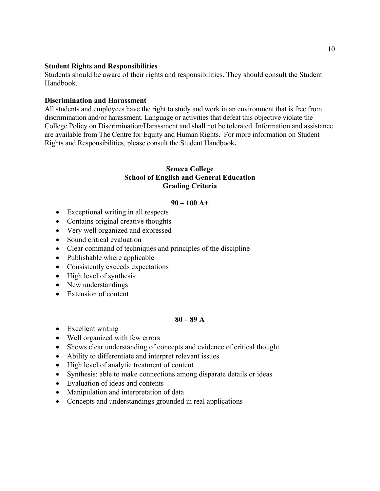# **Student Rights and Responsibilities**

Students should be aware of their rights and responsibilities. They should consult the Student Handbook.

#### **Discrimination and Harassment**

All students and employees have the right to study and work in an environment that is free from discrimination and/or harassment. Language or activities that defeat this objective violate the College Policy on Discrimination/Harassment and shall not be tolerated. Information and assistance are available from The Centre for Equity and Human Rights. For more information on Student Rights and Responsibilities, please consult the Student Handbook**.**

# **Seneca College School of English and General Education Grading Criteria**

#### **90 – 100 A+**

- Exceptional writing in all respects
- Contains original creative thoughts
- Very well organized and expressed
- Sound critical evaluation
- Clear command of techniques and principles of the discipline
- Publishable where applicable
- Consistently exceeds expectations
- High level of synthesis
- New understandings
- Extension of content

#### **80 – 89 A**

- Excellent writing
- Well organized with few errors
- Shows clear understanding of concepts and evidence of critical thought
- Ability to differentiate and interpret relevant issues
- High level of analytic treatment of content
- Synthesis: able to make connections among disparate details or ideas
- Evaluation of ideas and contents
- Manipulation and interpretation of data
- Concepts and understandings grounded in real applications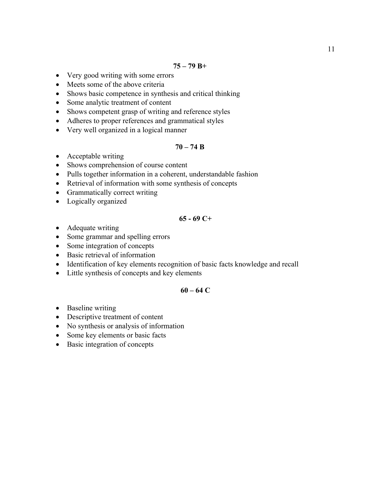- Very good writing with some errors
- Meets some of the above criteria
- Shows basic competence in synthesis and critical thinking
- Some analytic treatment of content
- Shows competent grasp of writing and reference styles
- Adheres to proper references and grammatical styles
- Very well organized in a logical manner

# **70 – 74 B**

- Acceptable writing
- Shows comprehension of course content
- Pulls together information in a coherent, understandable fashion
- Retrieval of information with some synthesis of concepts
- Grammatically correct writing
- Logically organized

# **65 - 69 C+**

- Adequate writing
- Some grammar and spelling errors
- Some integration of concepts
- Basic retrieval of information
- Identification of key elements recognition of basic facts knowledge and recall
- Little synthesis of concepts and key elements

# **60 – 64 C**

- Baseline writing
- Descriptive treatment of content
- No synthesis or analysis of information
- Some key elements or basic facts
- Basic integration of concepts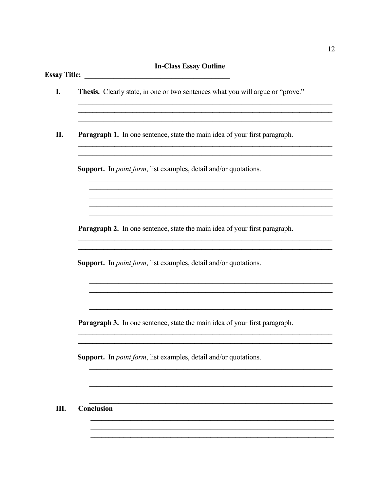# **In-Class Essay Outline**

| Paragraph 1. In one sentence, state the main idea of your first paragraph. |
|----------------------------------------------------------------------------|
| Support. In <i>point form</i> , list examples, detail and/or quotations.   |
|                                                                            |
| Paragraph 2. In one sentence, state the main idea of your first paragraph. |
| Support. In <i>point form</i> , list examples, detail and/or quotations.   |
| Paragraph 3. In one sentence, state the main idea of your first paragraph. |
| Support. In <i>point form</i> , list examples, detail and/or quotations.   |
|                                                                            |
|                                                                            |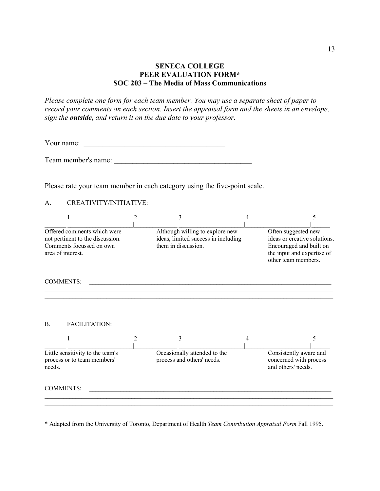# **SENECA COLLEGE PEER EVALUATION FORM\* SOC 203 – The Media of Mass Communications**

*Please complete one form for each team member. You may use a separate sheet of paper to record your comments on each section. Insert the appraisal form and the sheets in an envelope, sign the outside, and return it on the due date to your professor.*

Your name:  $\frac{1}{\sqrt{1-\frac{1}{2}}\sqrt{1-\frac{1}{2}}\sqrt{1-\frac{1}{2}}\sqrt{1-\frac{1}{2}}\sqrt{1-\frac{1}{2}}\sqrt{1-\frac{1}{2}}\sqrt{1-\frac{1}{2}}\sqrt{1-\frac{1}{2}}\sqrt{1-\frac{1}{2}}\sqrt{1-\frac{1}{2}}\sqrt{1-\frac{1}{2}}\sqrt{1-\frac{1}{2}}\sqrt{1-\frac{1}{2}}\sqrt{1-\frac{1}{2}}\sqrt{1-\frac{1}{2}}\sqrt{1-\frac{1}{2}}\sqrt{1-\frac{1}{2}}\sqrt{1-\frac{1}{2}}\sqrt{1-\frac$ 

Team member's name: **\_\_\_\_\_\_\_\_\_\_\_\_\_\_\_\_\_\_\_\_\_\_\_\_\_\_\_\_\_\_\_\_\_\_\_\_\_**

Please rate your team member in each category using the five-point scale.

#### A. CREATIVITY/INITIATIVE:

|                                                                           |                                                                                                                  |   | 3                   |                                                                        | 4 |                                                                                                                                     | 5 |
|---------------------------------------------------------------------------|------------------------------------------------------------------------------------------------------------------|---|---------------------|------------------------------------------------------------------------|---|-------------------------------------------------------------------------------------------------------------------------------------|---|
|                                                                           | Offered comments which were<br>not pertinent to the discussion.<br>Comments focussed on own<br>area of interest. |   | them in discussion. | Although willing to explore new<br>ideas, limited success in including |   | Often suggested new<br>ideas or creative solutions.<br>Encouraged and built on<br>the input and expertise of<br>other team members. |   |
|                                                                           | <b>COMMENTS:</b>                                                                                                 |   |                     |                                                                        |   |                                                                                                                                     |   |
| $\mathbf{B}$ .                                                            | <b>FACILITATION:</b>                                                                                             |   |                     |                                                                        |   |                                                                                                                                     |   |
|                                                                           |                                                                                                                  | 2 |                     |                                                                        | 4 |                                                                                                                                     | 5 |
| Little sensitivity to the team's<br>process or to team members'<br>needs. |                                                                                                                  |   |                     | Occasionally attended to the<br>process and others' needs.             |   | Consistently aware and<br>concerned with process<br>and others' needs.                                                              |   |
|                                                                           | <b>COMMENTS:</b>                                                                                                 |   |                     |                                                                        |   |                                                                                                                                     |   |

\* Adapted from the University of Toronto, Department of Health *Team Contribution Appraisal Form* Fall 1995.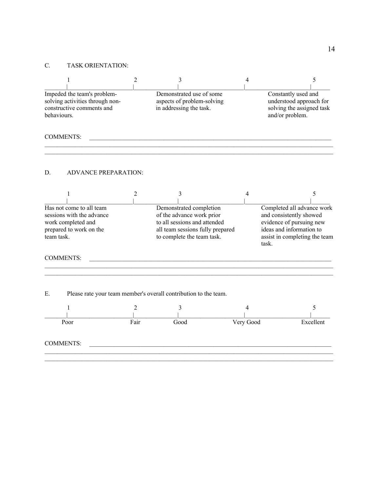# C. TASK ORIENTATION:

|                                                                                                                      |                                                                                             | 2              | 3                                                                                                                                                      |  | 4                                                                                                                                                       | 5         |
|----------------------------------------------------------------------------------------------------------------------|---------------------------------------------------------------------------------------------|----------------|--------------------------------------------------------------------------------------------------------------------------------------------------------|--|---------------------------------------------------------------------------------------------------------------------------------------------------------|-----------|
| behaviours.                                                                                                          | Impeded the team's problem-<br>solving activities through non-<br>constructive comments and |                | Demonstrated use of some<br>aspects of problem-solving<br>in addressing the task.                                                                      |  | Constantly used and<br>understood approach for<br>solving the assigned task<br>and/or problem.                                                          |           |
| <b>COMMENTS:</b>                                                                                                     |                                                                                             |                |                                                                                                                                                        |  |                                                                                                                                                         |           |
| D.                                                                                                                   | <b>ADVANCE PREPARATION:</b>                                                                 |                |                                                                                                                                                        |  |                                                                                                                                                         |           |
|                                                                                                                      |                                                                                             | $\overline{2}$ | 3                                                                                                                                                      |  | 4                                                                                                                                                       | 5         |
| Has not come to all team<br>sessions with the advance<br>work completed and<br>prepared to work on the<br>team task. |                                                                                             |                | Demonstrated completion<br>of the advance work prior<br>to all sessions and attended<br>all team sessions fully prepared<br>to complete the team task. |  | Completed all advance work<br>and consistently showed<br>evidence of pursuing new<br>ideas and information to<br>assist in completing the team<br>task. |           |
| <b>COMMENTS:</b>                                                                                                     |                                                                                             |                |                                                                                                                                                        |  |                                                                                                                                                         |           |
| Ε.                                                                                                                   | Please rate your team member's overall contribution to the team.                            |                |                                                                                                                                                        |  |                                                                                                                                                         |           |
|                                                                                                                      | 1                                                                                           | 2              | 3                                                                                                                                                      |  | 4                                                                                                                                                       | 5         |
|                                                                                                                      | Poor                                                                                        | Fair           | Good                                                                                                                                                   |  | Very Good                                                                                                                                               | Excellent |
| <b>COMMENTS:</b>                                                                                                     |                                                                                             |                |                                                                                                                                                        |  |                                                                                                                                                         |           |